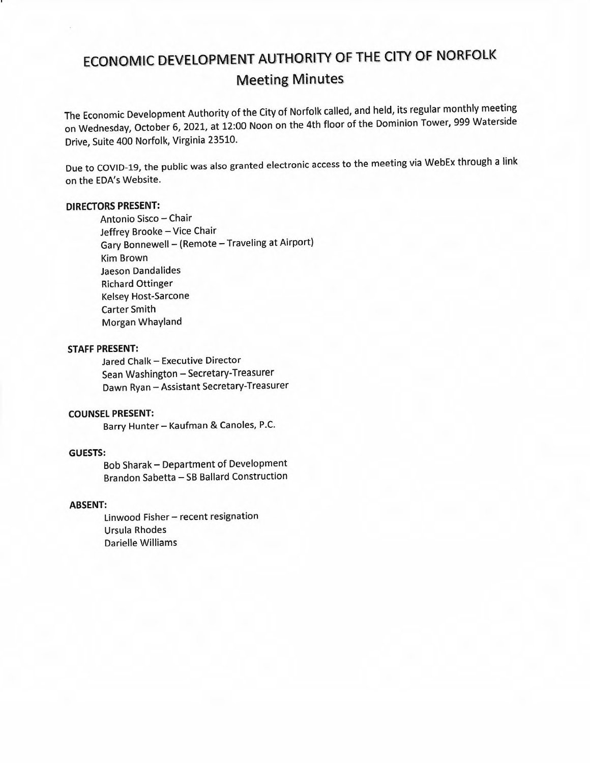# ECONOMIC DEVELOPMENT AUTHORITY OF THE CITY OF NORFOLK Meeting Minutes

The Economic Development Authority of the City of Norfolk called, and held, its regular monthly meeting on Wednesday, October 6, 2021, at 12:00 Noon on the 4th floor of the Dominion Tower, 999 Waterside Drive, Suite 400 Norfolk, Virginia 23510.

Due to COVID-19, the public was also granted electronic access to the meeting via WebEx through a link on the EDA's Website.

# DIRECTORS PRESENT:

Antonio Sisco — Chair Jeffrey Brooke — Vice Chair Gary Bonnewell — (Remote — Traveling at Airport) Kim Brown Jaeson Dandalides Richard Ottinger Kelsey Host-Sarcone Carter Smith Morgan Whayland

#### STAFF PRESENT:

Jared Chalk — Executive Director Sean Washington — Secretary-Treasurer Dawn Ryan — Assistant Secretary-Treasurer

### COUNSEL PRESENT:

Barry Hunter— Kaufman & Canoles, P.C.

## GUESTS:

Bob Sharak — Department of Development Brandon Sabetta — SB Ballard Construction

# ABSENT:

Linwood Fisher — recent resignation Ursula Rhodes Darielle Williams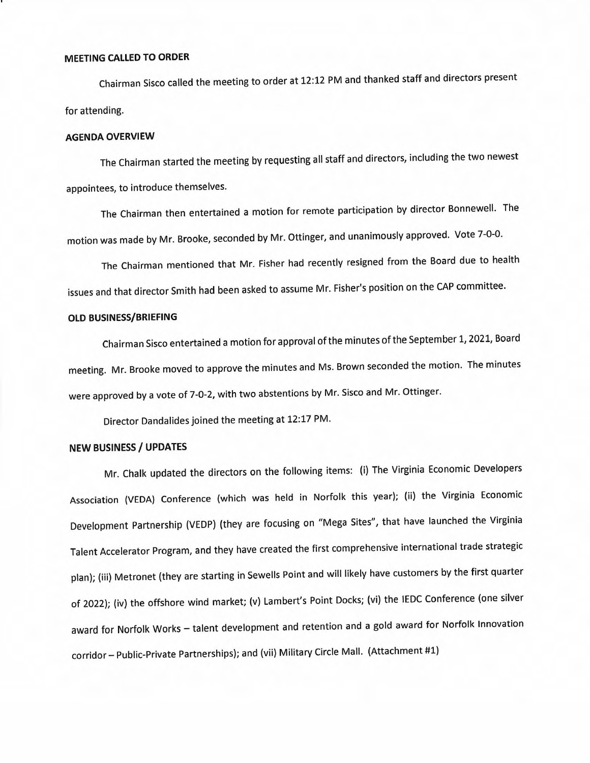# MEETING CALLED TO ORDER

Chairman Sisco called the meeting to order at 12:12 PM and thanked staff and directors present for attending.

#### AGENDA OVERVIEW

The Chairman started the meeting by requesting all staff and directors, including the two newest appointees, to introduce themselves.

The Chairman then entertained a motion for remote participation by director Bonnewell. The motion was made by Mr. Brooke, seconded by Mr. Ottinger, and unanimously approved. Vote 7-0-0.

The Chairman mentioned that Mr. Fisher had recently resigned from the Board due to health issues and that director Smith had been asked to assume Mr. Fisher's position on the CAP committee.

#### OLD BUSINESS/BRIEFING

Chairman Sisco entertained a motion for approval of the minutes of the September 1, 2021, Board meeting. Mr. Brooke moved to approve the minutes and Ms. Brown seconded the motion. The minutes were approved by a vote of 7-0-2, with two abstentions by Mr. Sisco and Mr. Ottinger.

Director Dandalides joined the meeting at 12:17 PM.

# NEW BUSINESS / UPDATES

Mr. Chalk updated the directors on the following items: (i) The Virginia Economic Developers Association (VEDA) Conference (which was held in Norfolk this year); (ii) the Virginia Economic Development Partnership (VEDP) (they are focusing on "Mega Sites", that have launched the Virginia Talent Accelerator Program, and they have created the first comprehensive international trade strategic plan); (iii) Metronet (they are starting in Sewells Point and will likely have customers by the first quarter of 2022); (iv) the offshore wind market; (v) Lambert's Point Docks; (vi) the IEDC Conference (one silver award for Norfolk Works — talent development and retention and a gold award for Norfolk Innovation corridor — Public-Private Partnerships); and (vii) Military Circle Mall. (Attachment #1)